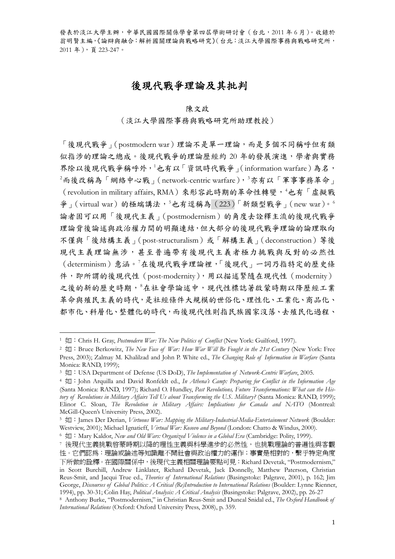# 後現代戰爭理論及其批判

### 陳文政

### (淡江大學國際事務與戰略研究所助理教授)

「後現代戰爭」(postmodern war)理論不是單一理論,而是多個不同稱呼但有類 似指涉的理論之總成。後現代戰爭的理論歷經約 20 年的發展演進,學者與實務 界除以後現代戰爭稱呼外, $1$ 也有以「資訊時代戰爭」(information warfare)為名,  $^2$  $^2$ 而後改稱為「網絡中心戰」(network-centric warfare), $^3$  $^3$ 亦有以「軍事事務革命」 (revolution in military affairs, RMA)來形容此時期的革命性轉變, [4](#page-0-3)也有「虛擬戰 爭」(virtual war)的極端講法,  $5$ 也有逕稱為 (223)「新類型戰爭」(new war)。 論者固可以用「後現代主義」(postmodernism)的角度去詮釋主流的後現代戰爭 理論背後論述與政治權力間的明顯連結,但大部分的後現代戰爭理論的論理取向 不僅與「後結構主義」(post-structuralism)或「解構主義」(deconstruction)等後 現代主義理論無涉,甚至普遍帶有後現代主義者極力挑戰與反對的必然性 (determinism)意涵。[7](#page-0-6) 在後現代戰爭理論裡,「後現代」一詞乃指特定的歷史條 件,即所謂的後現代性 (post-modernity),用以描述緊隨在現代性 (modernity) 之後的新的歷史時期, 各在社會學論述中, 現代性標誌著啟蒙時期以降歷經工業 革命與殖民主義的時代,是社經條件大規模的世俗化、理性化、工業化、商品化、 都市化、科層化、整體化的時代,而後現代性則指民族國家沒落、去殖民化過程、

<span id="page-0-0"></span><sup>&</sup>lt;sup>1</sup> 如: Chris H. Gray, *Postmodern War: The New Politics of Conflict* (New York: Guilford, 1997).

<span id="page-0-1"></span><sup>&</sup>lt;sup>2</sup> 如: Bruce Berkowitz, *The New Face of War: How War Will Be Fought in the 21st Century* (New York: Free Press, 2003); Zalmay M. Khalilzad and John P. White ed., *The Changing Role of Information in Warfare* (Santa Monica: RAND, 1999);

<span id="page-0-2"></span><sup>&</sup>lt;sup>3</sup> 如: USA Department of Defense (US DoD), *The Implementation of Network-Centric Warfare*, 2005.

<span id="page-0-3"></span><sup>&</sup>lt;sup>4</sup> 如: John Arquilla and David Ronfeldt ed., *In Athena's Camp: Preparing for Conflict in the Information Age* (Santa Monica: RAND, 1997); Richard O. Hundley, *Past Revolutions, Future Transformations: What can the History of Revolutions in Military Affairs Tell Us about Transforming the U.S. Military?* (Santa Monica: RAND, 1999); Elinor C. Sloan, *The Revolution in Military Affairs: Implications for Canada and NATO* (Montreal: McGill-Queen's University Press, 2002).<br>5 如: James Der Derian, *Virtuous War: Mapping the Military-Industrial-Media-Entertainment Network* (Boulder:

<span id="page-0-4"></span>Westview, 2001); Michael Ignatieff, *Virtual War: Kosovo and Beyond* (London: Chatto & Windus, 2000).<br>6  $\frac{1}{\sqrt{M}}$ : Mary Kaldor, *New and Old Wars: Organized Violence in a Global Era* (Cambridge: Polity, 1999).

<span id="page-0-5"></span>

<span id="page-0-6"></span><sup>7</sup> 後現代主義挑戰啓蒙時期以降的理性主義與科學進步的必然性,也挑戰理論的普遍性與客觀 性。它們認爲:理論或論述等知識離不開社會與政治權力的運作;事實是相對的,繫乎特定角度 下所做的詮釋。在國際關係中,後現代主義相關理論要點可見:Richard Devetak, "Postmodernism," in Scott Burchill, Andrew Linklater, Richard Devetak, Jack Donnelly, Matthew Paterson, Christian Reus-Smit, and Jacqui True ed., *Theories of International Relations* (Basingstoke: Palgrave, 2001), p. 162; Jim George, *Discourses of Global Politics: A Critical (Re)Introduction to International Relations* (Boulder: Lynne Rienner,<br>1994). pp. 30-31: Colin Hav. *Political Analysis: A Critical Analysis* (Basinestoke: Paleraye. 2002).

<span id="page-0-7"></span><sup>8</sup> Anthony Burke, "Postmodernism," in Christian Reus-Smit and Duncal Snidal ed., The Oxford Handbook of *International Relations* (Oxford: Oxford University Press, 2008), p. 359.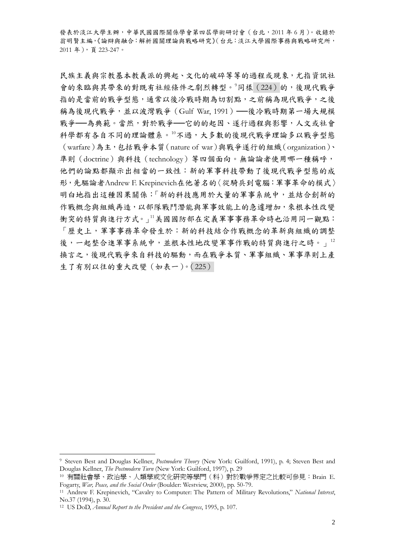民族主義與宗教基本教義派的興起、文化的破碎等等的過程或現象,尤指資訊社 會的來臨與其帶來的對既有社經條件之劇烈轉型。[9](#page-1-0)同樣 (224) 的,後現代戰爭 指的是當前的戰爭型態,通常以後冷戰時期為切割點,之前稱為現代戰爭,之後 稱為後現代戰爭,並以波灣戰爭 (Gulf War, 1991) ––後冷戰時期第一場大規模 戰爭––為典範。當然,對於戰爭––它的的起因、遂行過程與影響,人文或社會 科學都有各自不同的理論體系。[10](#page-1-1)不過,大多數的後現代戰爭理論多以戰爭型態 (warfare)為主,包括戰爭本質(nature of war)與戰爭遂行的組織(organization)、 準則(doctrine)與科技(technology)等四個面向。無論論者使用哪一種稱呼, 他們的論點都顯示出相當的一致性:新的軍事科技帶動了後現代戰爭型態的成 形,先驅論者Andrew F. Krepinevich在他著名的〈從騎兵到電腦:軍事革命的模式〉 明白地指出這種因果關係:「新的科技應用於大量的軍事系統中,並結合創新的 作戰概念與組織再造,以部隊戰鬥潛能與軍事效能上的急遽增加,來根本性改變 衝突的特質與進行方式。」1美國國防部在定義軍事事務革命時也沿用同一觀點: 「歷史上,軍事事務革命發生於:新的科技結合作戰概念的革新與組織的調整 後,一起整合進軍事系統中,並根本性地改變軍事作戰的特質與進行之時。」[12](#page-1-3) 換言之,後現代戰爭來自科技的驅動,而在戰爭本質、軍事組織、軍事準則上產 生了有別以往的重大改變(如表一)。(225)

<span id="page-1-0"></span><sup>9</sup> Steven Best and Douglas Kellner, *Postmodern Theory* (New York: Guilford, 1991), p. 4; Steven Best and

<span id="page-1-1"></span>Douglas Kellner, *The Postmodern Turn* (New York: Guilford, 1997), p. 29 10 有關社會學、政治學、人類學或文化研究等學門(科)對於戰爭界定之比較可參見:Brain E. Fogarty, *War, Peace, and the Social Order* (Boulder: Westview, 2000), pp. 50-79. 11 Andrew F. Krepinevich, "Cavalry to Computer: The Pattern of Military Revolutions," *National Interest*,

<span id="page-1-2"></span> $No.37 (1994)$ , p. 30.

<span id="page-1-3"></span><sup>12</sup> US DoD, *Annual Report to the President and the Congress*, 1995, p. 107.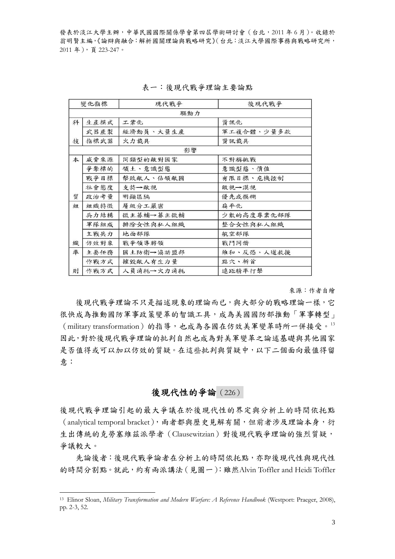| 變化指標 |      | 現代戰爭      | 後現代戰爭      |
|------|------|-----------|------------|
|      |      | 驅動力       |            |
| 科    | 生產模式 | 工業化       | 資訊化        |
|      | 武器產製 | 經濟動員、大量生產 | 軍工複合體、少量多款 |
| 技    | 指標武器 | 火力載具      | 資訊載具       |
|      |      | 影響        |            |
| 本    | 威脅來源 | 同類型的敵對國家  | 不對稱挑戰      |
|      | 爭奪標的 | 領土、意識型態   | 意識型態、價值    |
|      | 戰爭目標 | 擊敗敵人、佔領敵國 | 有限目標、危機控制  |
|      | 社會態度 | 支持→敵視     | 敵視→漠視      |
| 質    | 政治考量 | 明顯區隔      | 優先或模糊      |
| 組    | 組織特徵 | 層級分工嚴密    | 扁平化        |
|      | 兵力結構 | 微主募輔→募主徵輔 | 少數的高度專業化部隊 |
|      | 軍隊組成 | 排除女性與私人組織 | 整合女性與私人組織  |
|      | 主戰兵力 | 地面部隊      | 航空部隊       |
| 織    | 仿效對象 | 戰爭領導將領    | 戰鬥同儕       |
| 準    | 主要任務 | 國土防衛→協助盟邦 | 維和、反恐、人道救援 |
|      | 作戰方式 | 摧毁敵人有生力量  | 點穴、斬首      |
| 則    | 作戰方式 | 人員消耗→火力消耗 | 遠距精準打擊     |

#### 表一:後現代戰爭理論主要論點

來源:作者自繪

後現代戰爭理論不只是描述現象的理論而已,與大部分的戰略理論一樣,它 很快成為推動國防軍事政策變革的智識工具,成為美國國防部推動「軍事轉型」  $(military transformation)$ 的指導,也成為各國在仿效美軍變革時所一併接受。 $^{13}$  $^{13}$  $^{13}$ 因此,對於後現代戰爭理論的批判自然也成為對美軍變革之論述基礎與其他國家 是否值得或可以仿效的質疑。在這些批判與質疑中,以下二個面向最值得留 意:

## 後現代性的爭論 (226)

生出傳統的克勞塞維茲派學者 (Clausewitzian) 對後現代戰爭理論的強烈質疑, 爭議 較大。 後現代戰爭理論引起的最大爭議在於後現代性的界定與分析上的時間依托點 (analytical temporal bracket),兩者都與歷史見解有關,但前者涉及理論本身,衍

先論後者:後現代戰爭論者在分析上的時間依托點,亦即後現代性與現代性 的時間分割點。就此,約有兩派講法(見圖一):雖然Alvin Toffler and Heidi Toffler

<span id="page-2-0"></span><sup>13</sup> Elinor Sloan, *Military Transformation and Modern Warfare: A Reference Handbook* (Westport: Praeger, 2008), pp. 2-3, 52.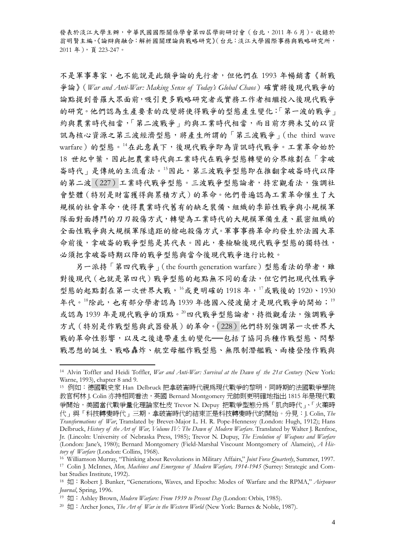不是軍事專家,也不能說是此類爭論的先行者,但他們在 1993 年暢銷書《新戰 爭論》(*War and Anti-War: Making Sense of Today's Global Chaos*)確實將後現代戰爭的 論點提到普羅大眾面前,吸引更多戰略研究者或實務工作者相繼投入後現代戰爭 的研究。他們認為生產要素的改變將使得戰爭的型態產生變化:「第一波的戰爭」 約與農業時代相當,「第二波戰爭」約與工業時代相當,而目前方興未艾的以資 訊為核心資源之第三波經濟型態,將產生所謂的「第三波戰爭」(the third wave warfare)的型態。[14](#page-3-0)在此意義下,後現代戰爭即為資訊時代戰爭。工業革命始於 18 世紀中葉,因此把農業時代與工業時代在戰爭型態轉變的分界線劃在「拿破 崙時代」是傳統的主流看法。[15](#page-3-1)因此,第三波戰爭型態即在推翻拿破崙時代以降 的第二波(227)工業時代戰爭型態。三波戰爭型態論者,持宏觀看法,強調社 會整體(特別是財富獲得與累積方式)的革命。他們普遍認為工業革命催生了大 規模的社會革命,使得農業時代舊有的缺乏裝備、組織的季節性戰爭與小規模軍 隊面對面搏鬥的刀刃殺傷方式,轉變為工業時代的大規模軍備生產、嚴密組織的 全面性戰爭與大規模軍隊遠距的槍砲殺傷方式。軍事事務革命約發生於法國大革 命前後,拿破崙的戰爭型態是其代表。因此,要檢驗後現代戰爭型態的獨特性, 必須把拿破崙時期以降的戰爭型態與當今後現代戰爭進行比較。

另一派持「第四代戰爭」(the fourth generation warfare)型態看法的學者,雖 對後現代(也就是第四代)戰爭型態的起點無不同的看法,但它們把現代性戰爭 型態的起點劃在第一次世界大戰,<sup>[16](#page-3-2)</sup>或更明確的 1918年,<sup>[17](#page-3-3)</sup>或戰後的 1920、1930 年代。[18](#page-3-4)除此,也有部分學者認為 [19](#page-3-5)39年德國入侵波蘭才是現代戰爭的開始;<sup>19</sup> 或認為1939年是現代戰爭的頂點。[20](#page-3-6)四代戰爭型態論者,持微觀看法,強調戰爭 方式(特別是作戰型態與武器發展)的革命。(228)他們特別強調第一次世界大 戰的革命性影響,以及之後連帶產生的變化––包括了協同兵種作戰型態、閃擊 戰思想的誕生、戰略轟炸、航空母艦作戰型態、無限制潛艦戰、兩棲登陸作戰與

<span id="page-3-0"></span><sup>14</sup> Alvin Toffler and Heidi Toffler, *War and Anti-War: Survival at the Dawn of the 21st Century* (New York: Warne, 1993), chapter 8 and 9.

<span id="page-3-1"></span><sup>15</sup> 例如:德國戰史家 Han Delbruck 把拿破崙時代視為現代戰爭的黎明,同時期的法國戰爭學院 教官柯林 J. Colin 亦持相同看法,英國 Bernard Montgomery 元帥則更明確地指出 1815 年是現代戰 爭開始,美國當代戰爭量化理論家杜皮 Trevor N. Depuy 把戰爭型態分為「肌肉時代」、「火藥時 代」與「科技轉變時代」三期,拿破崙時代的結束正是科技轉變時代的開始。分見:J. Colin, *The Transformations of War*, Translated by Brevet-Major L. H. R. Pope-Hennessy (London: Hugh, 1912); Hans Delbruck, *History of the Art of War, Volume IV: The Dawn of Modern Warfare*. Translated by Walter J. Renfroe, Jr. (Lincoln: University of Nebraska Press, 1985); Trevor N. Dupuy, *The Evolution of Weapons and Warfare* (London: Jane's, 1980); Bernard Montgomery (Field-Marshal Viscount Montgomery of Alamein), *A His-*

<span id="page-3-2"></span>tory of Warfare (London: Collins, 1968).<br><sup>16</sup> Williamson Murray, "Thinking about Revolutions in Military Affairs," Joint Force Quarterly, Summer, 1997.<br><sup>17</sup> Colin J. McInnes, *Men, Machines and Emergence of Modern Warfare,* bat Studies Institute, 1992).

<span id="page-3-4"></span><span id="page-3-3"></span><sup>&</sup>lt;sup>18</sup> 如: Robert J. Bunker, "Generations, Waves, and Epochs: Modes of Warfare and the RPMA," *Airpower Journal*, Spring, 1996.<br><sup>19</sup> 如: Ashley Brown, *Modern Warfare: From 1939 to Present Day* (London: Orbis, 1985).

<span id="page-3-5"></span>

<span id="page-3-6"></span><sup>&</sup>lt;sup>20</sup>  $\overline{L}$  : Archer Jones, *The Art of War in the Western World* (New York: Barnes & Noble, 1987).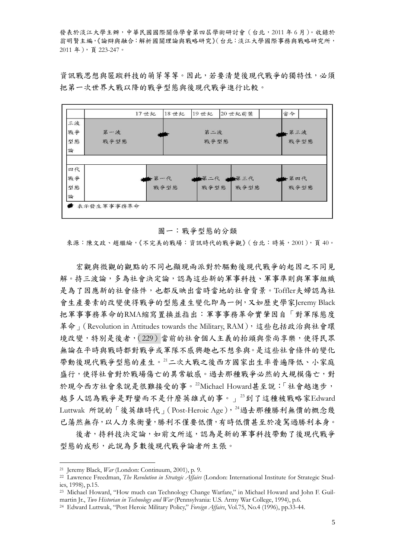資訊戰思想與匿蹤科技的萌芽等等。因此,若要清楚後現代戰爭的獨特性,必須 把第一次世界大戰以降的戰爭型態與後現代戰爭進行比較。



### 圖一:戰爭型態的分類

來源:陳文政、趙繼綸,《不完美的戰場:資訊時代的戰爭觀》(台北:時英,2001),頁40。

宏觀與微觀的觀點的不同也顯現兩派對於驅動後現代戰爭的起因之不同見 解。持三波論,多為社會決定論,認為這些新的軍事科技、軍事準則與軍事組織 是為了因應新的社會條件,也都反映出當時當地的社會背景。Toffler夫婦認為社 會生產要素的改變使得戰爭的型態產生變化即為一例,又如歷史學家Jeremy Black 把軍事事務革命的RMA縮寫置換並指出:軍事事務革命實肇因自「對軍隊態度 革命」(Revolution in Attitudes towards the Military, RAM),這些包括政治與社會環 境改變,特別是後者,(229)當前的社會個人主義的抬頭與崇尚享樂,使得民眾 無論在平時與戰時都對戰爭或軍隊不感興趣也不想參與。是這些社會條件的變化 帶動後現代戰爭型態的產生。[21](#page-4-0)二次大戰之後西方國家出生率普遍降低、小家庭 盛行,使得社會對於戰場傷亡的異常敏感。過去那種戰爭必然的大規模傷亡,對 於現今西方社會來說是很難接受的事。[22](#page-4-1)Michael Howard甚至說:「社會越進步, 越多人認為戰爭是野蠻而不是什麼英雄式的事。」[23](#page-4-2)到了這種被戰略家Edward Luttwak 所說的「後英雄時代」(Post-Heroic Age),  $^{24}$  $^{24}$  $^{24}$ 過去那種勝利無價的概念幾 已蕩然無存,以人力來衡量,勝利不僅要低價,有時低價甚至於凌駕過勝利本身。

後者,持科技決定論,如前文所述,認為是新的軍事科技帶動了後現代戰爭 型態的成形,此說為多數後現代戰爭論者所主張。

<span id="page-4-1"></span><span id="page-4-0"></span><sup>21</sup> Jeremy Black, *War* (London: Continuum, 2001), p. 9. 22 Lawrence Freedman, *The Revolution in Strategic Affairs* (London: International Institute for Strategic Studies, 1998), p.15.

<span id="page-4-2"></span><sup>&</sup>lt;sup>23</sup> Michael Howard, "How much can Technology Change Warfare," in Michael Howard and John F. Guil-<br>martin Ir., *Two Historian in Technology and War* (Pennsylvania: U.S. Army War College, 1994), p.6.

<span id="page-4-3"></span><sup>&</sup>lt;sup>24</sup> Edward Luttwak, "Post Heroic Military Policy," *Foreign Affairs*, Vol.75, No.4 (1996), pp.33-44.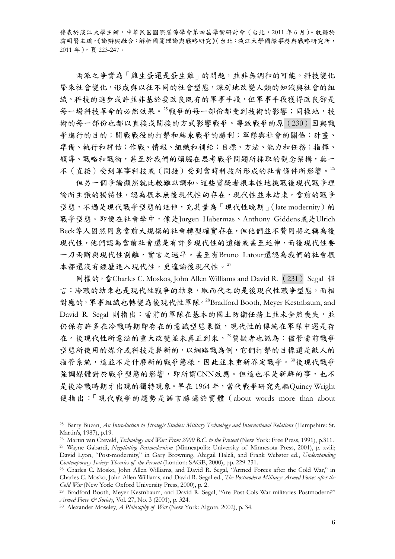兩派之爭實為「雞生蛋還是蛋生雞」的問題,並非無調和的可能。科技變化 帶來社會變化,形成與以往不同的社會型態,深刻地改變人類的知識與社會的組 織。科技的進步或許並非基於要改良既有的軍事手段,但軍事手段獲得改良卻是 每一場科技革命的必然效果。[25](#page-5-0)戰爭的每一部份都受到技術的影響;同樣地,技 術的每一部份也都以直接或間接的方式影響戰爭。導致戰爭的原(230)因與戰 爭進行的目的;開戰戰役的打擊和結束戰爭的勝利;軍隊與社會的關係;計畫、 準備、執行和評估;作戰、情報、組織和補給;目標、方法、能力和任務;指揮、 領導、戰略和戰術,甚至於我們的頭腦在思考戰爭問題所採取的觀念架構,無一 不(直接)受到軍事科技或(間接)受到當時科技所形成的社會條件所影響。[26](#page-5-1)

但另一個爭論顯然就比較難以調和。這些質疑者根本性地挑戰後現代戰爭理 論所主張的獨特性,認為根本無後現代性的存在,現代性並未結束,當前的戰爭 型態,不過是現代戰爭型態的延伸,充其量為「現代性晚期」(late modernity)的 戰爭型態。即便在社會學中,像是Jurgen Habermas、Anthony Giddens或是Ulrich Beck等人固然同意當前大規模的社會轉型確實存在,但他們並不贊同將之稱為後 現代性,他們認為當前社會還是有許多現代性的遺緒或甚至延伸,而後現代性要 一刀兩斷與現代性割離,實言之過早。甚至有Bruno Latour還認為我們的社會根 本都還沒有經歷進入現代性,更遑論後現代性。[27](#page-5-2)

同樣的,當Charles C. Moskos, John Allen Williams and David R. (231) Segal 倡 言:冷戰的結束也是現代性戰爭的結束,取而代之的是後現代性戰爭型態,而相 對應的,軍事組織也轉變為後現代性軍隊。[28](#page-5-3)Bradford Booth, Meyer Kestnbaum, and David R. Segal 則指出:當前的軍隊在基本的國土防衛任務上並未全然喪失,並 仍保有許多在冷戰時期即存在的意識型態象徵,現代性的傳統在軍隊中還是存 在。後現代性所意涵的重大改變並未真正到來。[29](#page-5-4)質疑者也認為:儘管當前戰爭 型態所使用的媒介或科技是嶄新的,以網路戰為例,它們打擊的目標還是敵人的 指管系統,這並不是什麼新的戰爭態樣,因此並未重新界定戰爭。[30](#page-5-5)後現代戰爭 強調媒體對於戰爭型態的影響,即所謂CNN效應。但這也不是新鮮的事,也不 是後冷戰時期才出現的獨特現象。早在 1964年,當代戰爭研究先驅Quincy Wright 便指出:「現代戰爭的趨勢是語言勝過於實體(about words more than about

<span id="page-5-0"></span><sup>25</sup> Barry Buzan, *An Introduction to Strategic Studies: Military Technology and International Relations* (Hampshire: St. Martin's, 1987), p.19.<br><sup>26</sup> Martin van Creveld. Technology and War: From 2000 B.C. to the Present (New York: Free Press. 1991), p.311.

<span id="page-5-2"></span><span id="page-5-1"></span><sup>&</sup>lt;sup>27</sup> Wayne Gabardi, Negotiating Postmodernism (Minneapolis: University of Minnesota Press, 2001), p. xviii; David Lyon, "Post-modernity," in Gary Browning, Abigail Halcli, and Frank Webster ed., *Understanding* 

<span id="page-5-3"></span><sup>&</sup>lt;sup>28</sup> Charles C. Mosko, John Allen Williams, and David R. Segal, "Armed Forces after the Cold War," in Charles C. Mosko, John Allen Williams, and David R. Segal ed., *The Postmodern Military: Armed Forces after the* 

<span id="page-5-4"></span><sup>&</sup>lt;sup>29</sup> Bradford Booth, Meyer Kestnbaum, and David R. Segal, "Are Post-Cols War militaries Postmodern?"<br>*Armed Force & Society*, Vol. 27, No. 3 (2001), p. 324.

<span id="page-5-5"></span><sup>&</sup>lt;sup>30</sup> Alexander Moseley, *A Philosophy of War* (New York: Algora, 2002), p. 34.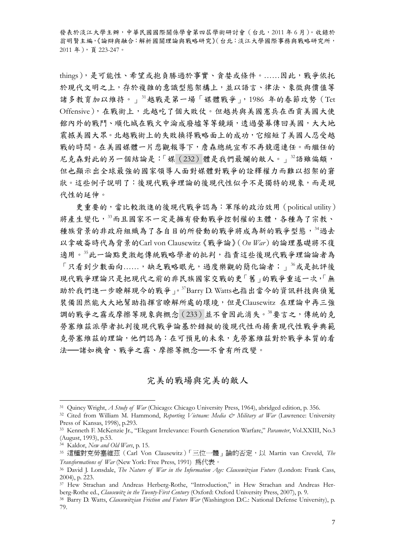things),是可能性、希望或抱負勝過於事實、貪婪或條件。……因此,戰爭依托 於現代文明之上,存於複雜的意識型態架構上,並以語言、律法、象徵與價值等 諸多教育加以維持。」[31](#page-6-0)越戰是第一場「媒體戰爭」,1986 年的春節攻勢(Tet Offensive),在戰術上,北越吃了個大敗仗。但越共與美國憲兵在西貢美國大使 館內外的戰鬥、順化城在戰火中淪成廢墟等等鏡頭,透過螢幕傳回美國,大大地 震撼美國大眾。北越戰術上的失敗換得戰略面上的成功,它縮短了美國人忍受越 戰的時間。在美國媒體一片悲觀報導下,詹森總統宣布不再競選連任。而繼任的 尼克森對此的另一個結論是:「媒(232)體是我們最爛的敵人。」[32](#page-6-1)語雖偏頗, 但也顯示出全球最強的國家領導人面對媒體對戰爭的詮釋權力而難以招架的窘 狀。這些例子說明了:後現代戰爭理論的後現代性似乎不是獨特的現象,而是現 代性的延伸。

更重要的,當比較激進的後現代戰爭認為:軍隊的政治效用(political utility) 將產生變化,[33](#page-6-2)而且國家不一定是擁有發動戰爭控制權的主體,各種為了宗教、 種族背景的非政府組織為了各自目的所發動的戰爭將成為新的戰爭型態,[34](#page-6-3)過去 以拿破崙時代為背景的Carl von Clausewitz《戰爭論》(*On War*)的論理基礎將不復 適用。[35](#page-6-4)此一論點更激起傳統戰略學者的批判,指責這些後現代戰爭理論論者為 「只看到少數面向……,缺乏戰略眼光,過度樂觀的簡化論者;」[36](#page-6-5)或是批評後 現代戰爭理論只是把現代之前的非民族國家交戰的更「舊」的戰爭重述一次,「無 助於我們進一步瞭解現今的戰爭」。[37](#page-6-6)Barry D. Watts也指出當今的資訊科技與偵蒐 裝備固然能大大地幫助指揮官瞭解所處的環境,但是Clausewitz 在理論中再三強 調的戰爭之霧或摩擦等現象與概念(233)並不會因此消失。[38](#page-6-7)要言之,傳統的克 勞塞維茲派學者批判後現代戰爭論基於錯擬的後現代性而揚棄現代性戰爭典範 克勞塞維茲的理論,他們認為:在可預見的未來,克勞塞維茲對於戰爭本質的看 法──諸如機會、戰爭之霧、摩擦等概念──不會有所改變。

完美的戰場與完美的敵人

<span id="page-6-0"></span><sup>31</sup> Quincy Wright, *A Study of War* (Chicago: Chicago University Press, 1964), abridged edition, p. 356. 32 Cited from William M. Hammond, *Reporting Vietnam: Media & Military at War* (Lawrence: University

<span id="page-6-1"></span>Press of Kansas, 1998), p.293.

<span id="page-6-2"></span><sup>33</sup> Kenneth F. McKenzie Jr., "Elegant Irrelevance: Fourth Generation Warfare," *Parameter*, Vol.XXIII, No.3 (August, 1993), p.53.

<span id="page-6-4"></span><span id="page-6-3"></span><sup>&</sup>lt;sup>34</sup> Kaldor, *New and Old Wars*, p. 15.<br><sup>35</sup> 這種對克勞塞維茲 (Carl Von Clausewitz)「三位一體」論的否定,以 Martin van Creveld, *The Transformations of War* (New York: Free Press, 1991) 為代表。

<span id="page-6-5"></span><sup>36</sup> David J. Lonsdale, *The Nature of War in the Information Age: Clausewitzian Future* (London: Frank Cass, 2004), p. 223.

<span id="page-6-6"></span><sup>&</sup>lt;sup>37</sup> Hew Strachan and Andreas Herberg-Rothe, "Introduction," in Hew Strachan and Andreas Her-<br>berg-Rothe ed.. *Clausewitz in the Twenty-First Century* (Oxford: Oxford University Press. 2007). p. 9.

<span id="page-6-7"></span><sup>&</sup>lt;sup>38</sup> Barry D. Watts. *Clausewitz ian Friction and Future War* (Washington D.C.: National Defense University), p. 79.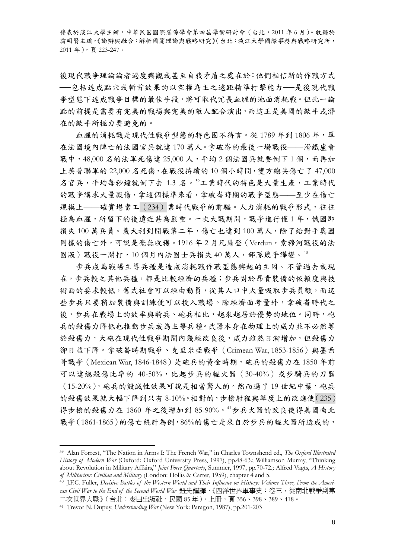後現代戰爭理論論者過度樂觀或甚至自我矛盾之處在於:他們相信新的作戰方式 ──包括達成點穴或斬首效果的以空權為主之遠距精準打擊能力──是後現代戰 爭型態下達成戰爭目標的最佳手段,將可取代冗長血腥的地面消耗戰。但此一論 點的前提是需要有完美的戰場與完美的敵人配合演出,而這正是美國的敵手或潛 在的敵手所極力要避免的。

血腥的消耗戰是現代性戰爭型態的特色固不待言。從 1789年到 1806年,單 在法國境內陣亡的法國官兵就達 170 萬人。拿破崙的最後一場戰役——滑鐵盧會 戰中,48,000名的法軍死傷達 25,000人,平均 2 個法國兵就要倒下 1 個,而再加 上英普聯軍的 22,000 名死傷,在戰役持續的 10 個小時間,雙方總共傷亡了 47,000 名官兵,平均每秒鐘就倒下去1.3名。[39](#page-7-0)工業時代的特色是大量生產,工業時代 的戰爭講求大量殺傷,拿這個標準來看,拿破崙時期的戰爭型態——至少在傷亡 規模上——確實堪當工(234) 業時代戰爭的前驅。人力消耗的戰爭形式,往往 極為血腥,所留下的後遺症甚為嚴重。一次大戰期間,戰爭進行僅1年,俄國即 損失 100 萬兵員。義大利到開戰第二年,傷亡也達到 100 萬人,除了給對手奧國 同樣的傷亡外,可說是毫無收穫。1916年2月凡爾登 (Verdun,索穆河戰役的法 國版)戰役一開打,10個月內法國士兵損失[40](#page-7-1)萬人,部隊幾乎譁變。40

步兵成為戰場主導兵種是造成消耗戰作戰型態興起的主因。不管過去或現 在,步兵較之其他兵種,都是比較經濟的兵種;步兵對於昂貴裝備的依賴度與技 術面的要求較低,舊式社會可以經由動員,從其人口中大量吸取步兵員額,而這 些步兵只要稍加裝備與訓練便可以投入戰場。除經濟面考量外,拿破崙時代之 後,步兵在戰場上的效率與騎兵、砲兵相比,越來越居於優勢的地位。同時,砲 兵的殺傷力降低也推動步兵成為主導兵種。武器本身在物理上的威力並不必然等 於殺傷力,大砲在現代性戰爭期間內幾經改良後,威力雖然日漸增加,但殺傷力 卻日益下降。拿破崙時期戰爭、克里米亞戰爭(Crimean War, 1853-1856)與墨西 哥戰爭(Mexican War, 1846-1848)是砲兵的黃金時期,砲兵的殺傷力在 1850 年前 可以達總殺傷比率的 40-50%,比起步兵的輕火器(30-40%)或步騎兵的刀器 (15-20%),砲兵的毀滅性效果可說是相當驚人的。然而過了19世紀中葉,砲兵 的殺傷效果就大幅下降到只有 8-10%。相對的,步槍射程與準度上的改進使(235) 得步槍的殺傷力在 1860 年之後增加到 85-90%。[41](#page-7-2)步兵火器的改良使得美國南北 戰爭(1861-1865)的傷亡統計為例,86%的傷亡是來自於步兵的輕火器所造成的,

<span id="page-7-0"></span><sup>39</sup> Alan Forrest, "The Nation in Arms I: The French War," in Charles Townshend ed., *The Oxford Illustrated History of Modern War* (Oxford: Oxford University Press, 1997), pp.48-63.; Williamson Murray, "Thinking about Revolution in Military Affairs," *Joint Force Quarterly*, Summer, 1997, pp.70-72.; Alfred Vagts, *A History* 

<span id="page-7-1"></span><sup>&</sup>lt;sup>40</sup> J.F.C. Fuller, *Decisive Battles of the Western World and Their Influence on History: Volume Three, From the American Civil War to the End of the Second World War* 鈕先鍾譯,《西洋世界軍事史:卷三,從南北戰爭到第 二次世界大戰》( 台北:麥田出版社,民國 85 年 ),上冊,頁 356、398、389、418。

<span id="page-7-2"></span><sup>41</sup> Trevor N. Dupuy, *Understanding War* (New York: Paragon, 1987), pp.201-203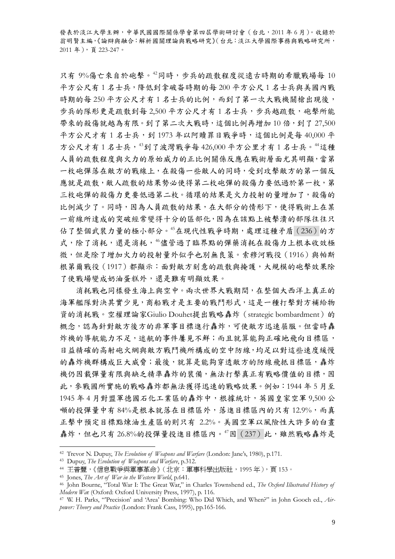只有9%傷亡來自於砲擊。[42](#page-8-0)同時,步兵的疏散程度從遠古時期的希臘戰場每10 平方公尺有 1 名士兵,降低到拿破崙時期的每 200 平方公尺 1 名士兵與美國內戰 時期的每 250 平方公尺才有 1 名士兵的比例,而到了第一次大戰機關槍出現後, 步兵的隊形更是疏散到每 2,500 平方公尺才有 1 名士兵,步兵越疏散, 砲擊所能 帶來的殺傷就越為有限。到了第二次大戰時,這個比例再增加10倍,到了 27,500 平方公尺才有1名士兵,到1973年以阿贖罪日戰爭時,這個比例是每40,000平 方公尺才有1名士兵, [43](#page-8-1)到了波灣戰爭每 426,000 平方公里才有1名士兵。 [44](#page-8-2)這種 人員的疏散程度與火力的原始威力的正比例關係反應在戰術層面尤其明顯,當第 一枚砲彈落在敵方的戰線上,在殺傷一些敵人的同時,受到攻擊敵方的第一個反 應就是疏散,敵人疏散的結果勢必使得第二枚砲彈的殺傷力要低過於第一枚,第 三枚砲彈的殺傷力更要低過第二枚。循環的結果是火力投射的量增加了,殺傷的 比例減少了。同時,因為人員疏散的結果,在大部分的情形下,使得戰術上在某 一前線所達成的突破經常變得十分的區部化,因為在該點上被擊潰的部隊往往只 佔了整個武裝力量的極小部分。[45](#page-8-3)在現代性戰爭時期,處理這種矛盾(236)的方 式,除了消耗,還是消耗, 4倍管過了臨界點的彈藥消耗在殺傷力上根本收效極 微,但是除了增加火力的投射量外似乎也別無良策。索穆河戰役(1916)與帕斯 根第爾戰役(1917)都顯示:面對敵方刻意的疏散與掩護,大規模的砲擊效果除 了使戰場變成奶油蛋糕外,還是難有明顯效果。

消耗戰也同樣發生海上與空中。兩次世界大戰期間,在整個大西洋上真正的 海軍艦隊對決其實少見,商船戰才是主要的戰鬥形式,這是一種打擊對方補給物 資的消耗戰。空權理論家Giulio Douhet提出戰略轟炸(strategic bombardment)的 概念,認為針對敵方後方的非軍事目標進行轟炸,可使敵方迅速屈服。但當時轟 炸機的導航能力不足,迷航的事件屢見不鮮;而且就算能夠正確地飛向目標區, 日益精確的高射砲火網與敵方戰鬥機所構成的空中防線,均足以對這些速度緩慢 的轟炸機群構成巨大威脅;最後,就算是能夠穿透敵方的防線飛抵目標區,轟炸 機仍因載彈量有限與缺乏精準轟炸的裝備,無法打擊真正有戰略價值的目標,因 此,參戰國所實施的戰略轟炸都無法獲得迅速的戰略效果。例如:1944 年 5 月至 1945 年 4 月對盟軍德國石化工業區的轟炸中,根據統計,英國皇家空軍 9,500 公 頓的投彈量中有 84%是根本就落在目標區外,落進目標區內的只有12.9%,而真 正擊中預定目標點煉油生產區的則只有 2.2%。美國空軍以風險性大許多的白晝 轟炸,但也只有 26.8%的投彈量投進目標區內。[47](#page-8-5)因 (237) 此,雖然戰略轟炸是

<span id="page-8-1"></span><span id="page-8-0"></span><sup>42</sup> Trevor N. Dupuy, *The Evolution of Weapons and Warfare* (London: Jane's, 1980), p.171. 43 Dupuy, *The Evolution of Weapons and Warfare*, p.312. 44 王普豐,《信息戰爭與軍事革命》(北京:軍事科學出版社,<sup>1995</sup> 年),頁 <sup>153</sup>。

<span id="page-8-4"></span><span id="page-8-3"></span><span id="page-8-2"></span><sup>45</sup> Jones, *The Art of War in the Western World*, p.641.<br><sup>46</sup> John Bourne, "Total War I: The Great War," in Charles Townshend ed., *The Oxford Illustrated History of*<br>*Modern Wa*r (Oxford: Oxford University Press. 1997). p.

<span id="page-8-5"></span><sup>&</sup>lt;sup>47</sup> W. H. Parks, "Precision' and 'Area' Bombing: Who Did Which, and When?" in John Gooch ed., *Airpower: Theory and Practice* (London: Frank Cass, 1995), pp.165-166.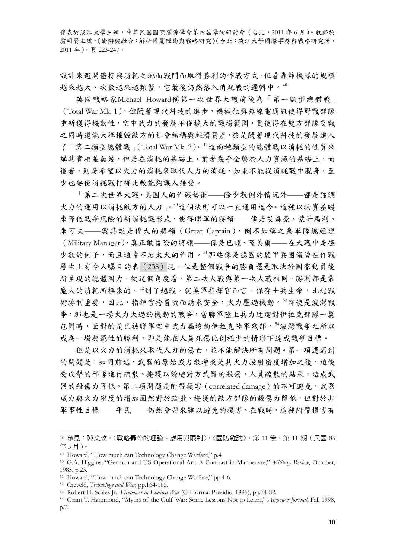設計來避開僵持與消耗之地面戰鬥而取得勝利的作戰方式,但看轟炸機隊的規模 越來越大、次數越來越頻繁,它最後仍然落入消耗戰的邏輯中。[48](#page-9-0)

英國戰略家 Michael Howard稱第一次世界大戰前後為「第一類型總體戰」 (Total War Mk. 1),但隨著現代科技的進步,機械化與無線電通訊使得野戰部隊 重新獲得機動性,空中武力的發展不僅擴大的戰場範圍,更使得在雙方部隊交戰 之同時還能大舉摧毀敵方的社會結構與經濟資產,於是隨著現代科技的發展進入 了「第二類型總體戰」(Total War Mk. 2)。 [49](#page-9-1)這兩種類型的總體戰以消耗的性質來 講其實相差無幾,但是在消耗的基礎上,前者幾乎全繫於人力資源的基礎上,而 後者,則是希望以火力的消耗來取代人力的消耗,如果不能從消耗戰中脫身,至 少也要使消耗戰打得比較能夠讓人接受。

「第二次世界大戰,美國人的作戰藝術——除少數例外情況外——都是強調 火力的運用以消耗敵方的人力」。[50](#page-9-2)這個法則可以一直通用迄今。這種以物資基礎 來降低戰爭風險的新消耗戰形式,使得聯軍的將領——像是艾森豪、蒙哥馬利、 朱可夫——與其說是偉大的將領(Great Captain),倒不如稱之為軍隊總經理 (Military Manager),真正敢冒險的將領——像是巴頓、隆美爾——在大戰中是極 少數的例子,而且通常不起太大的作用。[51](#page-9-3)那些像是德國的裝甲兵團儘管在作戰 層次上有令人矚目的表(238)現,但是整個戰爭的勝負還是取決於國家動員後 所呈現的總體國力,從這個角度看,第二次大戰與第一次大戰相同,勝利都是靠 龐大的消耗所換來的。[52](#page-9-4)到了越戰,就美軍指揮官而言,保存士兵生命,比起戰 術勝利重要,因此,指揮官捨冒險而講求安全,火力壓過機動。[53](#page-9-5)即使是波灣戰 爭,那也是一場火力大過於機動的戰爭,當聯軍陸上兵力迂迴對伊拉克部隊一翼 包圍時,面對的是已被聯軍空中武力轟垮的伊拉克陸軍殘部。[54](#page-9-6)波灣戰爭之所以 成為一場典範性的勝利,即是能在人員死傷比例極少的情形下達成戰爭目標。

但是以火力的消耗來取代人力的傷亡,並不能解決所有問題。第一項遭遇到 的問題是:如同前述,武器的原始威力激增或是其火力投射密度增加之後,迫使 受攻擊的部隊進行疏散、掩護以躲避對方武器的殺傷,人員疏散的結果,造成武 器的殺傷力降低。第二項問題是附帶損害(correlated damage)的不可避免。武器 威力與火力密度的增加固然對於疏散、掩護的敵方部隊的殺傷力降低,但對於非 軍事性目標——平民——仍然會帶來難以避免的損害。在戰時,這種附帶損害有

<span id="page-9-0"></span><sup>48</sup> 參見:陳文政,〈戰略轟炸的理論、應用與限制〉,《國防雜誌》,第 11 卷,第 11 期(民國 85 年 5 月)。

<span id="page-9-1"></span><sup>49</sup> Howard, "How much can Technology Change Warfare," p.4.

<span id="page-9-2"></span><sup>50</sup> G.A. Higgins, "German and US Operational Art: A Contrast in Manoeuvre," *Military Review*, October, 1985, p.23.

<span id="page-9-3"></span><sup>&</sup>lt;sup>51</sup> Howard, "How much can Technology Change Warfare," pp.4-6.<br><sup>52</sup> Creveld, *Technology and War*, pp.164-165.

<span id="page-9-5"></span><span id="page-9-4"></span><sup>&</sup>lt;sup>53</sup> Robert H. Scales Jr., *Firepower in Limited War* (California: Presidio, 1995), pp.74-82.<br><sup>54</sup> Grant T. Hammond. "Myths of the Gulf War: Some Lessons Not to Learn." *Airtower Journal*. Fall 1998.

<span id="page-9-6"></span>p.7.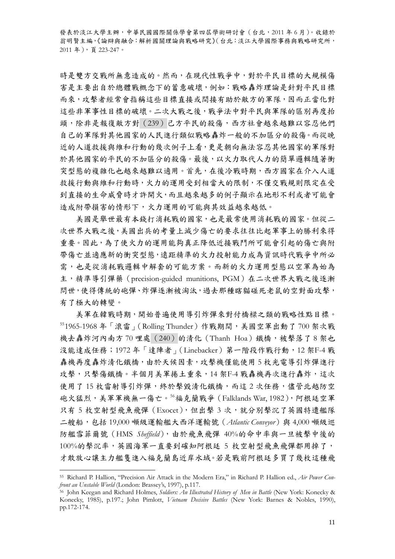時是雙方交戰所無意造成的。然而,在現代性戰爭中,對於平民目標的大規模傷 害是主要出自於總體戰概念下的蓄意破壞,例如:戰略轟炸理論是針對平民目標 而來,攻擊者經常會指稱這些目標直接或間接有助於敵方的軍隊,因而正當化對 這些非軍事性目標的破壞。二次大戰之後,戰爭法中對平民與軍隊的區別再度抬 頭,除非是報復敵方對(239)己方平民的殺傷,西方社會越來越難以容忍他們 自己的軍隊對其他國家的人民進行類似戰略轟炸一般的不加區分的殺傷。而從晚 近的人道救援與維和行動的幾次例子上看,更是朝向無法容忍其他國家的軍隊對 於其他國家的平民的不加區分的殺傷。最後,以火力取代人力的簡單邏輯隨著衝 突型態的複雜化也越來越難以適用。首先,在後冷戰時期,西方國家在介入人道 救援行動與維和行動時,火力的運用受到相當大的限制,不僅交戰規則限定在受 到直接的生命威脅時才許開火,而且越來越多的例子顯示在地形不利或者可能會 造成附帶損害的情形下,火力運用的可能與其效益越來越低。

美國是舉世最有本錢打消耗戰的國家,也是最常使用消耗戰的國家。但從二 次世界大戰之後,美國出兵的考量上減少傷亡的要求往往比起軍事上的勝利來得 重要。因此,為了使火力的運用能夠真正降低近接戰鬥所可能會引起的傷亡與附 帶傷亡並適應新的衝突型態,遠距精準的火力投射能力成為資訊時代戰爭中所必 需,也是從消耗戰邏輯中解套的可能方案。而新的火力運用型態以空軍為始為 主,精準導引彈藥(precision-guided munitions, PGM)在二次世界大戰之後逐漸 問世,使得傳統的砲彈、炸彈逐漸被淘汰,過去那種瞎貓碰死老鼠的空對面攻擊, 有了極大的轉變。

美軍在韓戰時期,開始普遍使用導引炸彈來對付橋樑之類的戰略性點目標。 [55](#page-10-0)1965-1968 年「滾雷」(Rolling Thunder)作戰期間,美國空軍出動了 700 架次戰 機去轟炸河內南方 70 哩處 (240) 的清化 (Thanh Hoa)鐵橋,被擊落了 8 架也 沒能達成任務;1972年「達陣者」(Linebacker)第一階段作戰行動,12 架F-4 戰 轟機再度轟炸清化鐵橋,由於天候因素,攻擊機僅能使用 5 枚光電導引炸彈進行 攻擊,只擊傷鐵橋。半個月美軍捲土重來,14架F-4 戰轟機再次進行轟炸,這次 使用了15枚雷射導引炸彈,終於擊毀清化鐵橋,而這2次任務,儘管北越防空 砲火猛烈,美軍軍機無一傷亡。[56](#page-10-1)福克蘭戰爭(Falklands War, 1982),阿根廷空軍 只有 5 枚空射型飛魚飛彈 (Exocet), 但出擊 3 次, 就分別擊沉了英國特遣艦隊 二艘船,包括 19,000 噸級運輸艦大西洋運輸號(*Atlantic Conveyor*)與 4,000 噸級巡 防艦雪菲爾號(HMS *Sheffield*),由於飛魚飛彈 40%的命中率與一旦被擊中後的 100%的擊沉率,英國海軍一直要到確知阿根廷 5 枚空射型飛魚飛彈都用掉了, 才敢放心讓主力艦隻進入福克蘭島近岸水域。若是戰前阿根廷多買了幾枚這種飛

<span id="page-10-0"></span><sup>55</sup> Richard P. Hallion, "Precision Air Attack in the Modern Era," in Richard P. Hallion ed., *Air Power Con-*

<span id="page-10-1"></span>*front an Unstable World* (London: Brassey's, 1997), p.117. 56 John Keegan and Richard Holmes, *Soldiers: An Illustrated History of Men in Battle* (New York: Konecky & Konecky, 1985), p.197.; John Pimlott, *Vietnam Decisive Battles* (New York: Barnes & Nobles, 1990), pp.172-174.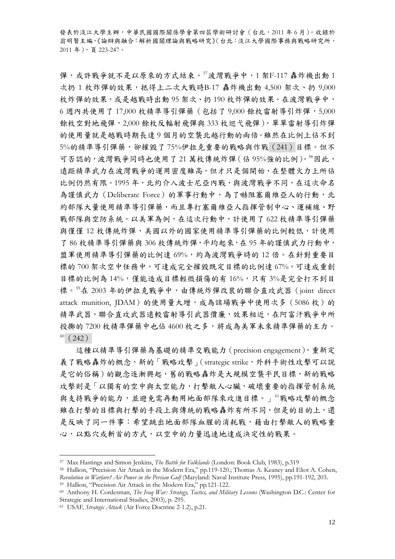彈,或許戰爭就不是以原來的方式結束。[57](#page-11-0)波灣戰爭中,1架F-117 轟炸機出動1 次扔 1 枚炸彈的效果,抵得上二次大戰時B-17 轟炸機出動 4,500 架次、扔 9,000 枚炸彈的效果,或是越戰時出動 95 架次、扔 190 枚炸彈的效果。在波灣戰爭中, 6 週內共使用了 17,000 枚精準導引彈藥(包括了 9,000 餘枚雷射導引炸彈,5,000 餘枚空對地飛彈,2,000 餘枚反輻射飛彈與 333 枚巡弋飛彈),單單雷射導引炸彈 的使用量就是越戰時期長達 9 個月的空襲北越行動的兩倍。雖然在比例上佔不到 5%的精準導引彈藥,卻摧毀了 75%伊拉克重要的戰略與作戰(241)目標。但不 可否認的,波灣戰爭同時也使用了21萬枚傳統炸彈 (佔 95%強的比例)。[58](#page-11-1)因此, 遠距精準武力在波灣戰爭的運用密度雖高,但才只是個開始,在整體火力上所佔 比例仍然有限。1995年,北約介入波士尼亞內戰,與波灣戰爭不同,在這次命名 為謹慎武力 (Deliberate Force) 的軍事行動中,為了嚇阻塞爾維亞人的行動,北 約部隊大量使用精準導引彈藥,而且專打塞爾維亞人指揮管制中心、運補線、野 戰部隊與空防系統。以美軍為例,在這次行動中,計使用了 622 枚精準導引彈藥 與僅僅12枚傳統炸彈,美國以外的國家使用精準導引彈藥的比例較低,計使用 了 86 枚精準導引彈藥與 306 枚傳統炸彈,平均起來,在 95 年的謹慎武力行動中, 盟軍使用精準導引彈藥的比例達 69%,約為波灣戰爭時的 12 倍。在針對重要目 標的 700 架次空中任務中,可達成完全摧毀既定目標的比例達 67%,可達成重創 目標的比例為14%,僅能造成目標輕微損傷的有16%,只有3%是完全打不到目 標。[59](#page-11-2)在 2003 年的伊拉克戰爭中,由傳統炸彈改裝的聯合直攻武器(joint direct attack munition, IDAM)的使用量大增,成為該場戰爭中使用次多 (5086枚)的 精準武器,聯合直攻武器遠較雷射導引武器價廉,效果相近,在阿富汗戰爭中所 投擲的7200枚精準彈藥中也佔4600枚之多,將成為美軍未來精準彈藥的主力。  $60(242)$  $60(242)$ 

這種以精準導引彈藥為基礎的精準交戰能力(precision engagement),重新定 義了戰略轟炸的概念,新的「戰略攻擊」(strategic strike,外科手術性攻擊可以說 是它的俗稱)的觀念逐漸興起,舊的戰略轟炸是大規模空襲平民目標,新的戰略 攻擊則是「以獨有的空中與太空能力,打擊敵人心臟,破壞重要的指揮管制系統 與支持戰爭的能力,並避免需再動用地面部隊來攻進目標。」[61](#page-11-4)戰略攻擊的概念 雖在打擊的目標與打擊的手段上與傳統的戰略轟炸有所不同,但是的目的上,還 是反映了同一件事:希望跳出地面部隊血腥的消耗戰,藉由打擊敵人的戰略重 心,以點穴或斬首的方式,以空中的力量迅速地達成決定性的戰果。

<span id="page-11-1"></span><span id="page-11-0"></span><sup>&</sup>lt;sup>57</sup> Max Hastings and Simon Jenkins, *The Battle for Falklands* (London: Book Club, 1983), p.319<br><sup>58</sup> Hallion, "Precision Air Attack in the Modern Era," pp.119-120.; Thomas A. Keaney and Eliot A. Cohen, *Revolution in Warfare? Air Power in the Persian Gulf* (Maryland: Naval Institute Press, 1995), pp.191-192, 203. 59 Hallion, "Precision Air Attack in the Modern Era," pp.121-122.

<span id="page-11-2"></span>

<span id="page-11-3"></span><sup>60</sup> Anthony H. Cordesman, *The Iraq War: Strategy, Tactics, and Military Lessons* (Washington D.C.: Center for

<span id="page-11-4"></span><sup>&</sup>lt;sup>61</sup> USAF, *Strategic Attack* (Air Force Doctrine 2-1.2), p.21.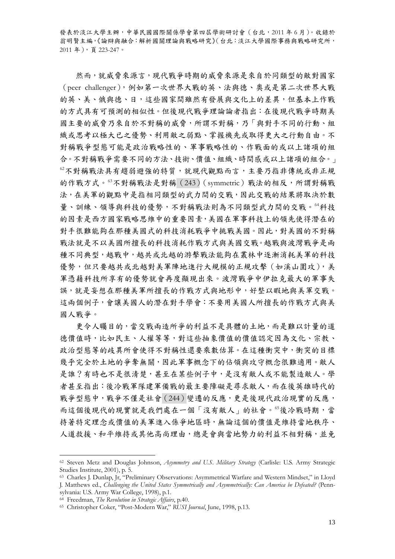然而,就威脅來源言,現代戰爭時期的威脅來源是來自於同類型的敵對國家 (peer challenger),例如第一次世界大戰的英、法與德、奧或是第二次世界大戰 的英、美、俄與德、日,這些國家間雖然有發展與文化上的差異,但基本上作戰 的方式具有可預測的相似性。但後現代戰爭理論論者指出:在後現代戰爭時期美 國主要的威脅乃來自於不對稱的威脅,所謂不對稱,乃「與對手不同的行動、組 織或思考以極大已之優勢、利用敵之弱點、掌握機先或取得更大之行動自由。不 對稱戰爭型態可能是政治戰略性的、軍事戰略性的、作戰面的或以上諸項的組 合。不對稱戰爭需要不同的方法、技術、價值、組織、時間感或以上諸項的組合。」 [62](#page-12-0)不對稱戰法具有趨弱避強的特質,就現代觀點而言,主要乃指非傳統或非正規 的作戰方式。<sup>[63](#page-12-1)</sup>不對稱戰法是對稱(243)(symmetric)戰法的相反,所謂對稱戰 法,在美軍的觀點中是指相同類型的武力間的交戰,因此交戰的結果將取決於數 量、訓練、領導與科技的優勢,不對稱戰法則為不同類型武力間的交戰。[64](#page-12-2)科技 的因素是西方國家戰略思維中的重要因素,美國在軍事科技上的領先使得潛在的 對手很難能夠在那種美國式的科技消耗戰爭中挑戰美國。因此,對美國的不對稱 戰法就是不以美國所擅長的科技消耗作戰方式與美國交戰。越戰與波灣戰爭是兩 種不同典型,越戰中,越共或北越的游擊戰法能夠在叢林中逐漸消耗美軍的科技 優勢,但只要越共或北越對美軍陣地進行大規模的正規攻擊(如溪山圍攻),美 軍憑藉科技所享有的優勢就會再度顯現出來。波灣戰爭中伊拉克最大的軍事失 誤,就是妄想在那種美軍所擅長的作戰方式與地形中,好整以暇地與美軍交戰。 這兩個例子,會讓美國人的潛在對手學會:不要用美國人所擅長的作戰方式與美 國人戰爭。

更令人矚目的,當交戰兩造所爭的利益不是具體的土地,而是難以計量的道 德價值時,比如民主、人權等等,對這些抽象價值的價值認定因為文化、宗教、 政治型態等的歧異所會使得不對稱性還要乘數估算。在這種衝突中,衝突的目標 幾乎完全於土地的爭奪無關,因此軍事概念下的佔領與攻守概念很難適用。敵人 是誰?有時也不是很清楚,其至在某些例子中,是沒有敵人或不能製造敵人。學 者甚至指出:後冷戰軍隊建軍備戰的最主要障礙是尋求敵人,而在後英雄時代的 戰爭型態中,戰爭不僅是社會(244)變遷的反應,更是後現代政治現實的反應, 而這個後現代的現實就是我們處在一個「沒有敵人」的社會。[65](#page-12-3)後冷戰時期,當 持著特定理念或價值的美軍進入係爭地區時,無論這個的價值是維持當地秩序、 人道救援、和平維持或其他高尚理由,總是會與當地勢力的利益不相對稱,並免

<span id="page-12-0"></span><sup>62</sup> Steven Metz and Douglas Johnson, *Asymmetry and U.S. Military Strategy* (Carlisle: U.S. Army Strategic Studies Institute, 2001), p. 5.

<span id="page-12-1"></span><sup>63</sup> Charles J. Dunlap, Jr, "Preliminary Observations: Asymmetrical Warfare and Western Mindset," in Lloyd J. Matthews ed., *Challenging the United States Symmetrically and Asymmetrically: Can America be Defeated?* (Penn-

sylvania: U.S. Army War College, 1998), p.1.<br><sup>64</sup> Freedman, *The Revolution in Strategic Affairs*, p.40.

<span id="page-12-3"></span><span id="page-12-2"></span><sup>&</sup>lt;sup>65</sup> Christopher Coker, "Post-Modern War," *RUSI Journal*, June, 1998, p.13.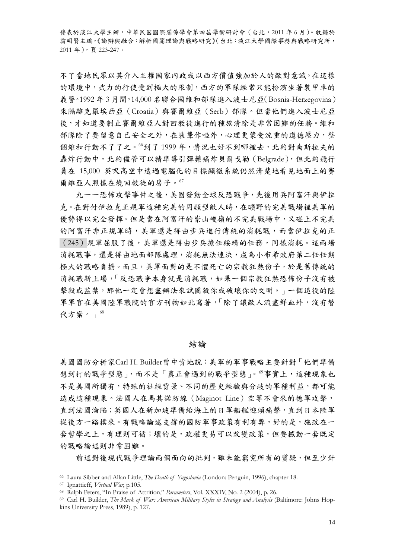不了當地民眾以其介入主權國家內政或以西方價值強加於人的敵對意識。在這樣 的環境中,武力的行使受到極大的限制,西方的軍隊經常只能扮演坐著裝甲車的 義警。1992年3月間,14,000名聯合國維和部隊進入波士尼亞(Bosnia-Herzegovina) 來隔離克羅埃西亞(Croatia)與賽爾維亞(Serb)部隊。但當他們進入波士尼亞 後,才知道要制止賽爾維亞人對回教徒進行的種族清除是非常困難的任務。維和 部隊除了要留意自己安全之外,在裝聾作啞外,心理更蒙受沈重的道德壓力,整 個維和行動不了了之。<sup>[66](#page-13-0)</sup>到了 1999 年,情況也好不到哪裡去,北約對南斯拉夫的 轟炸行動中,北約儘管可以精準導引彈藥痛炸貝爾戈勒(Belgrade),但北約飛行 員在 15,000 英呎高空中透過電腦化的目標顯微系統仍然清楚地看見地面上的賽 爾維亞人照樣在燒回教徒的房子。[67](#page-13-1)

九一一恐怖攻擊事件之後,美國發動全球反恐戰爭,先後用兵阿富汗與伊拉 克。在對付伊拉克正規軍這種完美的同類型敵人時,在曠野的完美戰場裡美軍的 優勢得以完全發揮。但是當在阿富汗的崇山峻嶺的不完美戰場中,又碰上不完美 的阿富汗非正規軍時,美軍還是得由步兵進行傳統的消耗戰,而當伊拉克的正 (245)規軍屈服了後,美軍還是得由步兵擔任綏靖的任務,同樣消耗。這兩場 消耗戰事,還是得由地面部隊處理,消耗無法速決,成為小布希政府第二任任期 極大的戰略負擔。而且,美軍面對的是不懼死亡的宗教狂熱份子,於是舊傳統的 消耗戰新上場,「反恐戰爭本身就是消耗戰,如果一個宗教狂熱恐怖份子沒有被 擊殺或監禁,那他一定會想盡辦法來試圖殺你或破壞你的文明。」一個退役的陸 軍軍官在美國陸軍戰院的官方刊物如此寫著,「除了讓敵人流盡鮮血外,沒有替 代方案。」[68](#page-13-2)

#### 結論

美國國防分析家Carl H. Builder曾中肯地說:美軍的軍事戰略主要針對「他們準備 想到打的戰爭型態」,而不是「真正會遇到的戰爭型態」。[69](#page-13-3)事實上,這種現象也 不是美國所獨有,特殊的社經背景、不同的歷史經驗與分歧的軍種利益,都可能 造成這種現象。法國人在馬其諾防線(Maginot Line)空等不會來的德軍攻擊, 直到法國淪陷;英國人在新加坡準備給海上的日軍船艦迎頭痛擊,直到日本陸軍 從後方一路撲來。有戰略論述支撐的國防軍事政策有利有弊,好的是,施政在一 套哲學之上,有理則可循;壞的是,政權更易可以改變政策,但要撼動一套既定 的戰略論述則非常困難。

前述對後現代戰爭理論兩個面向的批判,雖未能窮究所有的質疑,但至少針

<span id="page-13-3"></span><span id="page-13-2"></span>

<span id="page-13-1"></span><span id="page-13-0"></span><sup>&</sup>lt;sup>66</sup> Laura Sibber and Allan Little, *The Death of Yugoslavia* (London: Penguin, 1996), chapter 18.<br><sup>67</sup> Ignattieff, *Virtual War*, p.105.<br><sup>68</sup> Ralph Peters, "In Praise of Attrition," *Parameters*, Vol. XXXIV, No. 2 (2004), kins University Press, 1989), p. 127.